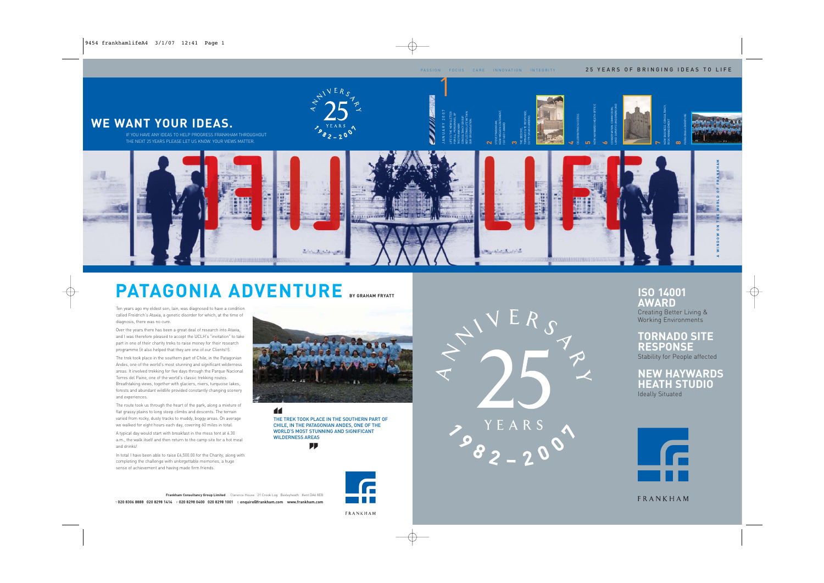

# **PATAGONIA ADVENTURE** BY GRAHAM FRYATT **ISO 14001**

Ten years ago my eldest son, Iain, was diagnosed to have a condition called Freidrich's Ataxia, a genetic disorder for which, at the time of diagnosis, there was no cure.

Over the years there has been a great deal of research into Ataxia, and I was therefore pleased to accept the UCLH's "invitation" to take part in one of their charity treks to raise money for their research programme (it also helped that they are one of our Clients!!).

The trek took place in the southern part of Chile, in the Patagonian Andes, one of the world's most stunning and significant wilderness areas. It involved trekking for five days through the Parque Nacional Torres del Paine, one of the world's classic trekking routes. Breathtaking views, together with glaciers, rivers, turquoise lakes, forests and abundant wildlife provided constantly changing scenery and experiences.

The route took us through the heart of the park, along a mixture of flat grassy plains to long steep climbs and descents. The terrain varied from rocky, dusty tracks to muddy, boggy areas. On average we walked for eight hours each day, covering 60 miles in total.

A typical day would start with breakfast in the mess tent at 6.30 a.m., the walk itself and then return to the camp site for a hot meal and drinks!

In total I have been able to raise £6,500.00 for the Charity, along with completing the challenge with unforgettable memories, a huge sense of achievement and having made firm friends.





**''**

THE TREK TOOK PLACE IN THE SOUTHERN PART OF CHILE, IN THE PATAGONIAN ANDES, ONE OF THE WORLD'S MOST STUNNING AND SIGNIFICANT WILDERNESS AREAS

**''**







**AWARD** Creating Better Living & Working Environments

**TORNADO SITE RESPONSE** Stability for People affected

**NEW HAYWARDS HEATH STUDIO** Ideally Situated



FRANKHAM

#### FRANKHAM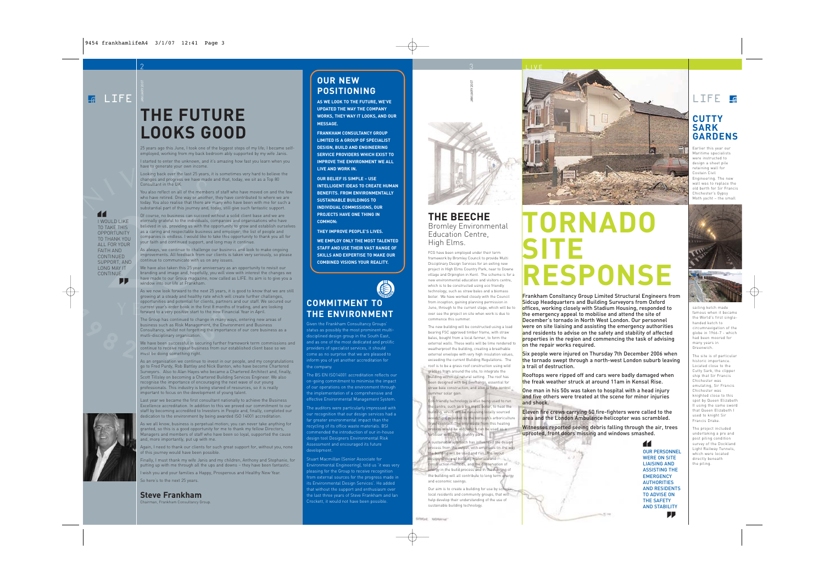I WOULD LIKE TO TAKE THIS OPPORTUNITY TO THANK YOU ALL FOR YOUR FAITH AND CONTINUED SUPPORT, AND LONG MAY IT CONTINUE.

**''**

**''**

# **THE FUTURE LOOKS GOOD**

25 years ago this June, I took one of the biggest steps of my life; I became selfemployed, working from my back bedroom ably supported by my wife Janis.

I started to enter the unknown, and it's amazing how fast you learn when you have to generate your own income.

Looking back over the last 25 years, it is sometimes very hard to believe the changes and progress we have made and that, today, we sit as a Top 80 Consultant in the UK.

You also reflect on all of the members of staff who have moved on and the few who have retired. One way or another, they have contributed to where we are today. You also realise that there are many who have been with me for such a substantial part of this journey and, today, still give such fantastic support.

Of course, no business can succeed without a solid client base and we are eternally grateful to the individuals, companies and organisations who have believed in us, providing us with the opportunity to grow and establish ourselves as a caring and respectable business and employer; the list of people and companies is endless. I would like to take this opportunity to thank you all for your faith and continued support, and long may it continue.

As always, we continue to challenge our business and look to make ongoing improvements. All feedback from our clients is taken very seriously, so please continue to communicate with us on any issues.

We have also taken this 25 year anniversary as an opportunity to revisit our branding and image and, hopefully, you will view with interest the changes we have made to our Group magazine, now called as LIFE. Its aim is to give you a window into our life at Frankham.

As we now look forward to the next 25 years, it is good to know that we are still growing at a steady and healthy rate which will create further challenges, opportunities and potential for clients, partners and our staff. We secured our current year's order book in the first 8 months of trading, and are looking forward to a very positive start to the new Financial Year in April.

The Group has continued to change in many ways, entering new areas of business such as Risk Management, the Environment and Business Consultancy, whilst not forgetting the importance of our core business as a mutli-disciplinary organisation.

We have been successful in securing further framework term commissions and continue to receive repeat business from our established client base so we must be doing something right.

As an organisation we continue to invest in our people, and my congratulations go to Fred Purdy, Rob Battley and Nick Banton, who have become Chartered Surveyors. Also to Alan Hayes who became a Chartered Architect and, finally, Scott Tillsley on becoming a Chartered Building Services Engineer. We also recognise the importance of encouraging the next wave of our young professionals. This industry is being starved of resources, so it is really important to focus on the development of young talent.

Last year we became the first consultant nationally to achieve the Business Excellence accreditation. In addition to this we proved our commitment to our staff by becoming accredited to Investors in People and, finally, completed our dedication to the environment by being awarded ISO 14001 accreditation.

As we all know, business is perpetual motion; you can never take anything for granted, so this is a good opportunity for me to thank my fellow Directors, Managers and members of staff who have been so loyal, supported the cause and, more importantly, put up with me.

Again, I need to thank our clients for such great support for, without you, none of this journey would have been possible.

Finally, I must thank my wife Janis and my children, Anthony and Stephanie, for putting up with me through all the ups and downs – they have been fantastic.

I wish you and your families a Happy, Prosperous and Healthy New Year. So here's to the next 25 years.

**Steve Frankham**

Chairman, Frankham Consultancy Group.

### **OUR NEW POSITIONING**

2 3

**AS WE LOOK TO THE FUTURE, WE'VE UPDATED THE WAY THE COMPANY WORKS, THEY WAY IT LOOKS, AND OUR MESSAGE.**

**FRANKHAM CONSULTANCY GROUP LIMITED IS A GROUP OF SPECIALIST DESIGN, BUILD AND ENGINEERING SERVICE PROVIDERS WHICH EXIST TO IMPROVE THE ENVIRONMENT WE ALL LIVE AND WORK IN.**

**OUR BELIEF IS SIMPLE – USE INTELLIGENT IDEAS TO CREATE HUMAN BENEFITS. FROM ENVIRONMENTALLY SUSTAINABLE BUILDINGS TO INDIVIDUAL COMMISSIONS, OUR PROJECTS HAVE ONE THING IN COMMON:**

**THEY IMPROVE PEOPLE'S LIVES.**

**WE EMPLOY ONLY THE MOST TALENTED STAFF AND USE THEIR VAST RANGE OF SKILLS AND EXPERTISE TO MAKE OUR COMBINED VISIONS YOUR REALITY.**

### **COMMITMENT TO THE ENVIRONMENT**

Given the Frankham Consultancy Groups' status as possibly the most prominent multidisciplined design group in the South East, and as one of the most dedicated and prolific providers of specialist services, it should come as no surprise that we are pleased to inform you of yet another accreditation for the company.

The BS EN ISO14001 accreditation reflects our on-going commitment to minimise the impact of our operations on the environment through the implementation of a comprehensive and effective Environmental Management System.

The auditors were particularly impressed with our recognition that our design services had a far greater environmental impact than the recycling of its office waste materials. BSI design tool Designers Environmental Risk Assessment and encouraged its future development.

Stuart Macmillan (Senior Associate for Environmental Engineering), told us 'it was very pleasing for the Group to receive recognition from external sources for the progress made in its Environmental Design Services'. He added that without the support and enthusiasm over the last three years of Steve Frankham and Ian Crockett, it would not have been possible.



#### **THE BEECHE** Bromley Environmental Education Centre, High Elms.

FCG have been employed under their term framework by Bromley Council to provide Multi Disciplinary Design Services for an exiting new project in High Elms Country Park, near to Downe village and Orpington in Kent. The scheme is for a new environmental education and visitors centre, which is to be constructed using eco friendly technology, such as straw bales and a biomass boiler. We have worked closely with the Council from inception, gaining planning permission in June, through to the current stage, which will be to over see the project on site when work is due to commence this summer.

The new building will be constructed using a load bearing FSC approved timber frame, with straw bales, bought from a local farmer, to form the external walls. These walls will be lime rendered to weatherproof the building, creating a breathable external envelope with very high insulation values, exceeding the current Building Regulations. The roof is to be a grass roof construction using wild grasses from around the site, to integrate the building within its natural setting. The roof has been designed with big overhangs, essential for straw bale construction, and also to help control

ummer solar gain. Eco-friendly technology is also being used to run the centre, such as a bio mass boiler, to heat the building, which will be run using locally sourced woodchips, provided by the borough's arboriculture

(tree) contract. The only waste from this heating process would be ash, which can be used as a fertiliser within the country park. A sustainable approach has influenced the design

process from the outset, with emphasis on the way the building will be used and run. The layout design, choice of building materials and construction methods, and the conservation of energy in the build process and in the running of the building will all contribute to long term energy and economic savings.

Our aim is to create a building for use by schools, local residents and community groups, that will help develop their understanding of the use of sustainable building technology.



LIVE

# **TORNADO SITE RESPONSE**

Frankham Consltancy Group Limited Structural Engineers from Sidcup Headquarters and Building Surveyors from Oxford offices, working closely with Stadium Housing, responded to the emergency appeal to mobilise and attend the site of December's tornado in North West London. Our personnel were on site liaising and assisting the emergency authorities and residents to advise on the safety and stability of affected properties in the region and commencing the task of advising on the repair works required.

Six people were injured on Thursday 7th December 2006 when the tornado swept through a north-west London suburb leaving a trail of destruction.

Rooftops were ripped off and cars were badly damaged when the freak weather struck at around 11am in Kensal Rise.

One man in his 50s was taken to hospital with a head injury and five others were treated at the scene for minor injuries and shock.

Eleven fire crews carrying 50 fire-fighters were called to the area and the London Ambulance helicopter was scrambled.

Witnesses reported seeing debris falling through the air, trees uprooted, front doors missing and windows smashed.



**CUTTY**

**SARK GARDENS**

Earlier this year our Maritime specialists were instructed to design a sheet pile retaining wall for Costain Civil Engineering. The new wall was to replace the old berth for Sir Francis Chichester's Gypsy Moth yacht – the small





sailing ketch made famous when it became the World's first singlehanded ketch to circumnavigation of the globe in 1966-7 - which had been moored for many years in Greenwich.

The site is of particular historic importance. Located close to the Cutty Sark, the clipper ship that Sir Francis Chichester was emulating, Sir Francis Chichester was knighted close to this spot by Queen Elizabeth II using the same sword that Queen Elizabeth I used to knight Sir Francis Drake.

The project included undertaking a pre and post piling condition survey of the Dockland Light Railway Tunnels, which were located directly beneath the piling.

AND RESIDENTS **''**<br>LITY<br>DID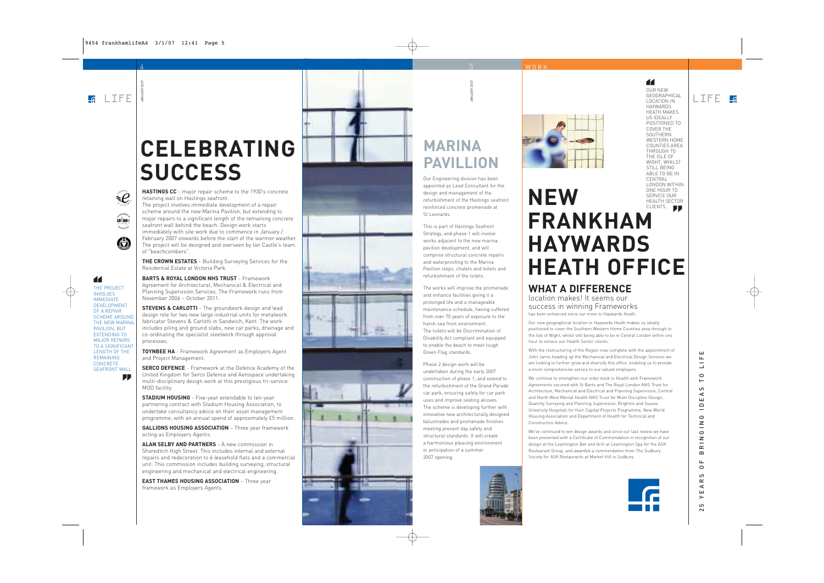$=$  $\mathcal{C}$ 

LOÑDON

 $\bigoplus$ 

THE PROJECT INVOLVES IMMEDIATE DEVELOPMENT OF A REPAIR SCHEME AROUND THE NEW MARINA PAVILION, BUT EXTENDING TO MAJOR REPAIRS TO A SIGNIFICANT LENGTH OF THE REMAINING CONCRETE SEAFRONT WALL

**''**

**''**

4

JANUARY 2007

# **CELEBRATING SUCCESS**

**HASTINGS CC** - major repair scheme to the 1930's concrete retaining wall on Hastings seafront. The project involves immediate development of a repair

scheme around the new Marina Pavilion, but extending to major repairs to a significant length of the remaining concrete seafront wall behind the beach. Design work starts immediately with site work due to commence in January / February 2007 onwards before the start of the warmer weather. The project will be designed and overseen by Ian Castle's team of "beachcombers".

**THE CROWN ESTATES** - Building Surveying Services for the Residential Estate at Victoria Park.

**BARTS & ROYAL LONDON NHS TRUST** - Framework Agreement for Architectural, Mechanical & Electrical and Planning Supervision Services. The Framework runs from November 2006 – October 2011.

**STEVENS & CARLOTTI** - The groundwork design and lead design role for two new large industrial units for metalwork fabricator Stevens & Carlotti in Sandwich, Kent. The work includes piling and ground slabs, new car parks, drainage and co-ordinating the specialist steelwork through approval processes.

**TOYNBEE HA** - Framework Agreement as Employers Agent and Project Management.

**SERCO DEFENCE** - Framework at the Defence Academy of the United Kingdom for Serco Defence and Aerospace undertaking multi-disciplinary design work at this prestigious tri-service MOD facility.

**STADIUM HOUSING** - Five-year extendable to ten-year partnering contract with Stadium Housing Association, to undertake consultancy advice on their asset management programme, with an annual spend of approximately £5 million.

**GALLIONS HOUSING ASSOCIATION** – Three year framework acting as Employers Agents.

**ALAN SELBY AND PARTNERS** - A new commission in Shoreditch High Street. This includes internal and external repairs and redecoration to 6 leasehold flats and a commercial unit. This commission includes building surveying, structural engineering and mechanical and electrical engineering.

**EAST THAMES HOUSING ASSOCIATION** – Three year framework as Employers Agents.





# **MARINA PAVILLION**

5

WORK

JANUARY 2007

Our Engineering division has been appointed as Lead Consultant for the design and management of the refurbishment of the Hastings seafront reinforced concrete promenade at St Leonards.

This is part of Hastings Seafront Strategy, and phase 1 will involve works adjacent to the new marina pavilion development, and will comprise structural concrete repairs and waterproofing to the Marina Pavilion steps, chalets and toilets and refurbishment of the toilets.

The works will improve the promenade and enhance facilities giving it a prolonged life and a manageable maintenance schedule, having suffered from over 70 years of exposure to the harsh sea front environment. The toilets will be Discrimination of Disability Act compliant and equipped to enable the beach to meet tough Green Flag standards.

Phase 2 design work will be undertaken during the early 2007 construction of phase 1, and extend to the refurbishment of the Grand Parade car park, ensuring safety for car park uses and improve seating alcoves. The scheme is developing further with innovative new architecturally designed balustrades and promenade finishes meeting present day safety and structural standards. It will create a harmonious pleasing environment in anticipation of a summer 2007 opening.



OUR NEW

**''**

GEOGRAPHICAL LOCATION IN HAYWARDS HEATH MAKES US IDEALLY POSITIONED TO COVER THE SOUTHERN WESTERN HOME COUNTIES AREA THROUGH TO THE ISLE OF WIGHT, WHILST STILL BEING ABLE TO BE IN CENTRAL LONDON WITHIN ONE HOUR TO UNE HUUR TU<br>SERVICE OUR<br>HEALTH SECTOF<br>CLIENTS.

 $L$  TFF  $R$ 

# **NEW FRANKHAM HAYWARDS HEATH OFFICE** SERVICE OUR HEALTH SECTOR

#### **WHAT A DIFFERENCE** location makes! It seems our

success in winning Frameworks has been enhanced since our move to Haywards Heath.

Our new geographical location in Haywards Heath makes us ideally positioned to cover the Southern Western Home Counties area through to the Isle of Wight, whilst still being able to be in Central London within one hour to service our Health Sector clients.

With the restructuring of the Region now complete with the appointment of John Jarvis heading up the Mechanical and Electrical Design Services we are looking to further grow and diversify this office, enabling us to provide a more comprehensive service to our valued employers.

We continue to strengthen our order book in Health with Framework Agreements secured with St Barts and The Royal London NHS Trust for Architecture, Mechanical and Electrical and Planning Supervision, Central and North West Mental Health NHS Trust for Multi Discipline Design, Quantity Surveying and Planning Supervision, Brighton and Sussex University Hospitals for their Capital Projects Programme, New World Housing Association and Department of Health for Technical and Construction Advice.

We've continued to win design awards and since our last review we have been presented with a Certificate of Commendation in recognition of our design at the Leamington Bar and Grill at Leamington Spa for the ASK Restaurant Group, and awarded a commendation from The Sudbury Society for ASK Restaurants at Market Hill in Sudbury.



#### ш 25 YEARS OF BRINGING IDEAS TO LIFE  $\frac{1}{\sqrt{2}}$  $\circ$  $\vdash$ S  $\prec$ ш  $\overline{-}$ ය  $rac{z}{\sigma}$  $\mathsf z$  $\simeq$  $\bf{m}$  $\mathbf{L}$  $\circ$  $\omega$  $\simeq$  $\prec$ ш  $\geq$  $\overline{10}$  $\sim$